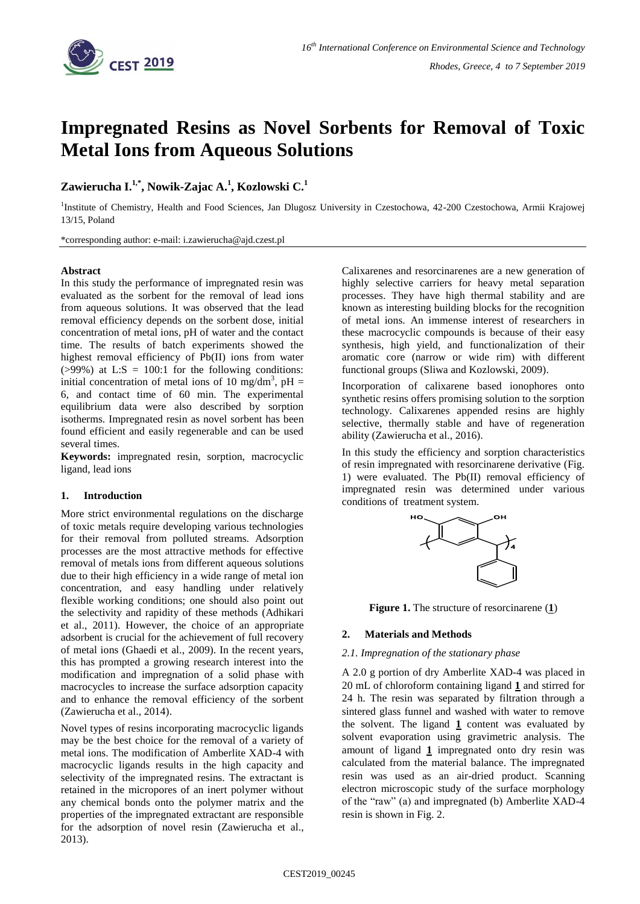

# **Impregnated Resins as Novel Sorbents for Removal of Toxic Metal Ions from Aqueous Solutions**

# **Zawierucha I. 1,\* , Nowik-Zajac A. 1 , Kozlowski C. 1**

<sup>1</sup>Institute of Chemistry, Health and Food Sciences, Jan Dlugosz University in Czestochowa, 42-200 Czestochowa, Armii Krajowej 13/15, Poland

\*corresponding author: e-mail: i.zawierucha@ajd.czest.pl

# **Abstract**

In this study the performance of impregnated resin was evaluated as the sorbent for the removal of lead ions from aqueous solutions. It was observed that the lead removal efficiency depends on the sorbent dose, initial concentration of metal ions, pH of water and the contact time. The results of batch experiments showed the highest removal efficiency of Pb(II) ions from water  $(>99\%)$  at L:S = 100:1 for the following conditions: initial concentration of metal ions of 10 mg/dm<sup>3</sup>, pH = 6, and contact time of 60 min. The experimental equilibrium data were also described by sorption isotherms. Impregnated resin as novel sorbent has been found efficient and easily regenerable and can be used several times.

**Keywords:** impregnated resin, sorption, macrocyclic ligand, lead ions

# **1. Introduction**

More strict environmental regulations on the discharge of toxic metals require developing various technologies for their removal from polluted streams. Adsorption processes are the most attractive methods for effective removal of metals ions from different aqueous solutions due to their high efficiency in a wide range of metal ion concentration, and easy handling under relatively flexible working conditions; one should also point out the selectivity and rapidity of these methods (Adhikari et al., 2011). However, the choice of an appropriate adsorbent is crucial for the achievement of full recovery of metal ions (Ghaedi et al., 2009). In the recent years, this has prompted a growing research interest into the modification and impregnation of a solid phase with macrocycles to increase the surface adsorption capacity and to enhance the removal efficiency of the sorbent (Zawierucha et al., 2014).

Novel types of resins incorporating macrocyclic ligands may be the best choice for the removal of a variety of metal ions. The modification of Amberlite XAD-4 with macrocyclic ligands results in the high capacity and selectivity of the impregnated resins. The extractant is retained in the micropores of an inert polymer without any chemical bonds onto the polymer matrix and the properties of the impregnated extractant are responsible for the adsorption of novel resin (Zawierucha et al., 2013).

Calixarenes and resorcinarenes are a new generation of highly selective carriers for heavy metal separation processes. They have high thermal stability and are known as interesting building blocks for the recognition of metal ions. An immense interest of researchers in these macrocyclic compounds is because of their easy synthesis, high yield, and functionalization of their aromatic core (narrow or wide rim) with different functional groups (Sliwa and Kozlowski, 2009).

Incorporation of calixarene based ionophores onto synthetic resins offers promising solution to the sorption technology. Calixarenes appended resins are highly selective, thermally stable and have of regeneration ability (Zawierucha et al., 2016).

In this study the efficiency and sorption characteristics of resin impregnated with resorcinarene derivative (Fig. 1) were evaluated. The Pb(II) removal efficiency of impregnated resin was determined under various conditions of treatment system.



**Figure 1.** The structure of resorcinarene (**1**)

# **2. Materials and Methods**

#### *2.1. Impregnation of the stationary phase*

A 2.0 g portion of dry Amberlite XAD-4 was placed in 20 mL of chloroform containing ligand **1** and stirred for 24 h. The resin was separated by filtration through a sintered glass funnel and washed with water to remove the solvent. The ligand **1** content was evaluated by solvent evaporation using gravimetric analysis. The amount of ligand **1** impregnated onto dry resin was calculated from the material balance. The impregnated resin was used as an air-dried product. Scanning electron microscopic study of the surface morphology of the "raw" (a) and impregnated (b) Amberlite XAD-4 resin is shown in Fig. 2.